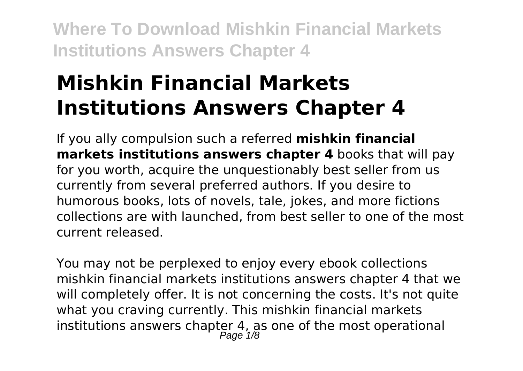# **Mishkin Financial Markets Institutions Answers Chapter 4**

If you ally compulsion such a referred **mishkin financial markets institutions answers chapter 4** books that will pay for you worth, acquire the unquestionably best seller from us currently from several preferred authors. If you desire to humorous books, lots of novels, tale, jokes, and more fictions collections are with launched, from best seller to one of the most current released.

You may not be perplexed to enjoy every ebook collections mishkin financial markets institutions answers chapter 4 that we will completely offer. It is not concerning the costs. It's not quite what you craving currently. This mishkin financial markets institutions answers chapter 4, as one of the most operational Page 1/8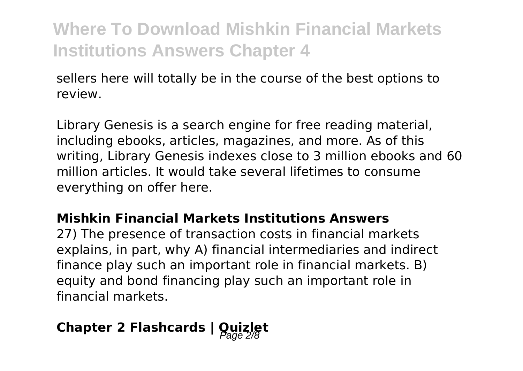sellers here will totally be in the course of the best options to review.

Library Genesis is a search engine for free reading material, including ebooks, articles, magazines, and more. As of this writing, Library Genesis indexes close to 3 million ebooks and 60 million articles. It would take several lifetimes to consume everything on offer here.

#### **Mishkin Financial Markets Institutions Answers**

27) The presence of transaction costs in financial markets explains, in part, why A) financial intermediaries and indirect finance play such an important role in financial markets. B) equity and bond financing play such an important role in financial markets.

# **Chapter 2 Flashcards | Quizlet**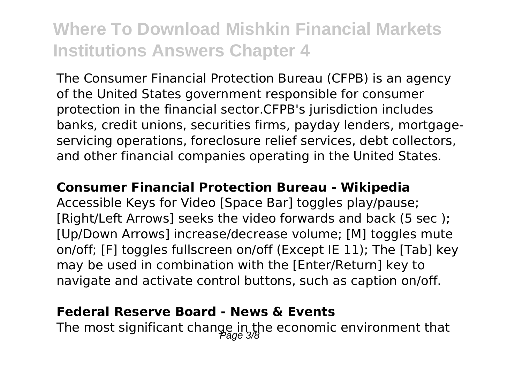The Consumer Financial Protection Bureau (CFPB) is an agency of the United States government responsible for consumer protection in the financial sector.CFPB's jurisdiction includes banks, credit unions, securities firms, payday lenders, mortgageservicing operations, foreclosure relief services, debt collectors, and other financial companies operating in the United States.

#### **Consumer Financial Protection Bureau - Wikipedia**

Accessible Keys for Video [Space Bar] toggles play/pause; [Right/Left Arrows] seeks the video forwards and back (5 sec ); [Up/Down Arrows] increase/decrease volume; [M] toggles mute on/off; [F] toggles fullscreen on/off (Except IE 11); The [Tab] key may be used in combination with the [Enter/Return] key to navigate and activate control buttons, such as caption on/off.

### **Federal Reserve Board - News & Events**

The most significant change in the economic environment that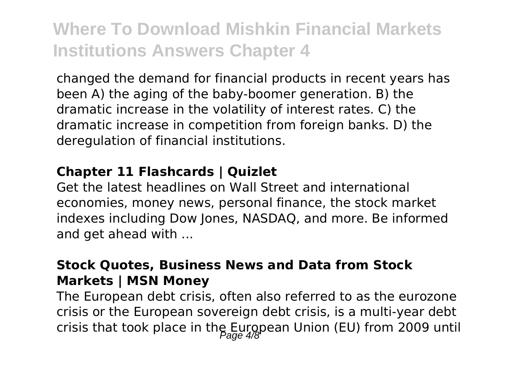changed the demand for financial products in recent years has been A) the aging of the baby-boomer generation. B) the dramatic increase in the volatility of interest rates. C) the dramatic increase in competition from foreign banks. D) the deregulation of financial institutions.

#### **Chapter 11 Flashcards | Quizlet**

Get the latest headlines on Wall Street and international economies, money news, personal finance, the stock market indexes including Dow Jones, NASDAQ, and more. Be informed and get ahead with ...

#### **Stock Quotes, Business News and Data from Stock Markets | MSN Money**

The European debt crisis, often also referred to as the eurozone crisis or the European sovereign debt crisis, is a multi-year debt crisis that took place in the European Union (EU) from 2009 until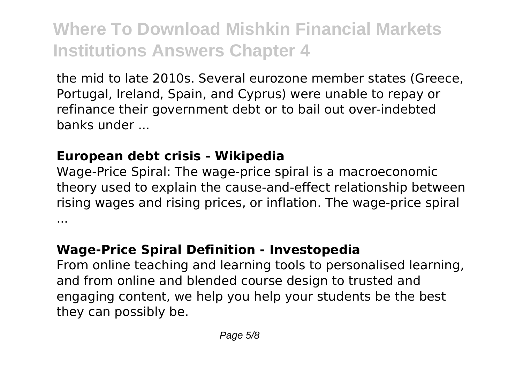the mid to late 2010s. Several eurozone member states (Greece, Portugal, Ireland, Spain, and Cyprus) were unable to repay or refinance their government debt or to bail out over-indebted banks under ...

### **European debt crisis - Wikipedia**

Wage-Price Spiral: The wage-price spiral is a macroeconomic theory used to explain the cause-and-effect relationship between rising wages and rising prices, or inflation. The wage-price spiral ...

### **Wage-Price Spiral Definition - Investopedia**

From online teaching and learning tools to personalised learning, and from online and blended course design to trusted and engaging content, we help you help your students be the best they can possibly be.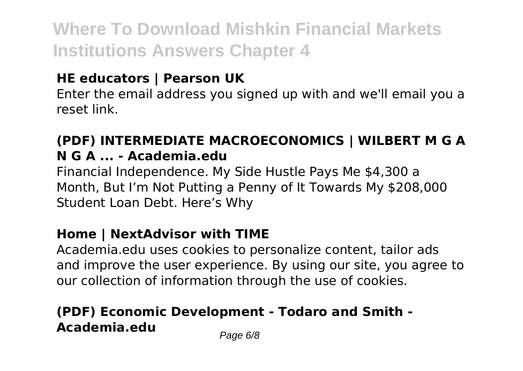### **HE educators | Pearson UK**

Enter the email address you signed up with and we'll email you a reset link.

### **(PDF) INTERMEDIATE MACROECONOMICS | WILBERT M G A N G A ... - Academia.edu**

Financial Independence. My Side Hustle Pays Me \$4,300 a Month, But I'm Not Putting a Penny of It Towards My \$208,000 Student Loan Debt. Here's Why

### **Home | NextAdvisor with TIME**

Academia.edu uses cookies to personalize content, tailor ads and improve the user experience. By using our site, you agree to our collection of information through the use of cookies.

### **(PDF) Economic Development - Todaro and Smith - Academia.edu** Page 6/8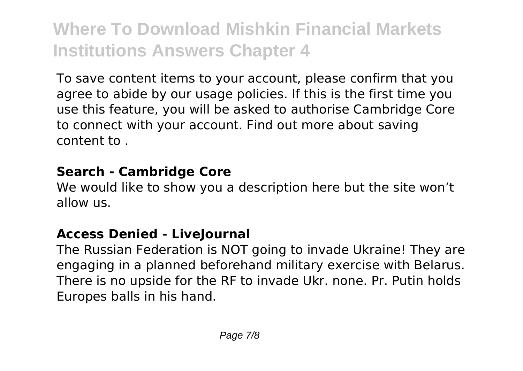To save content items to your account, please confirm that you agree to abide by our usage policies. If this is the first time you use this feature, you will be asked to authorise Cambridge Core to connect with your account. Find out more about saving content to .

#### **Search - Cambridge Core**

We would like to show you a description here but the site won't allow us.

### **Access Denied - LiveJournal**

The Russian Federation is NOT going to invade Ukraine! They are engaging in a planned beforehand military exercise with Belarus. There is no upside for the RF to invade Ukr. none. Pr. Putin holds Europes balls in his hand.